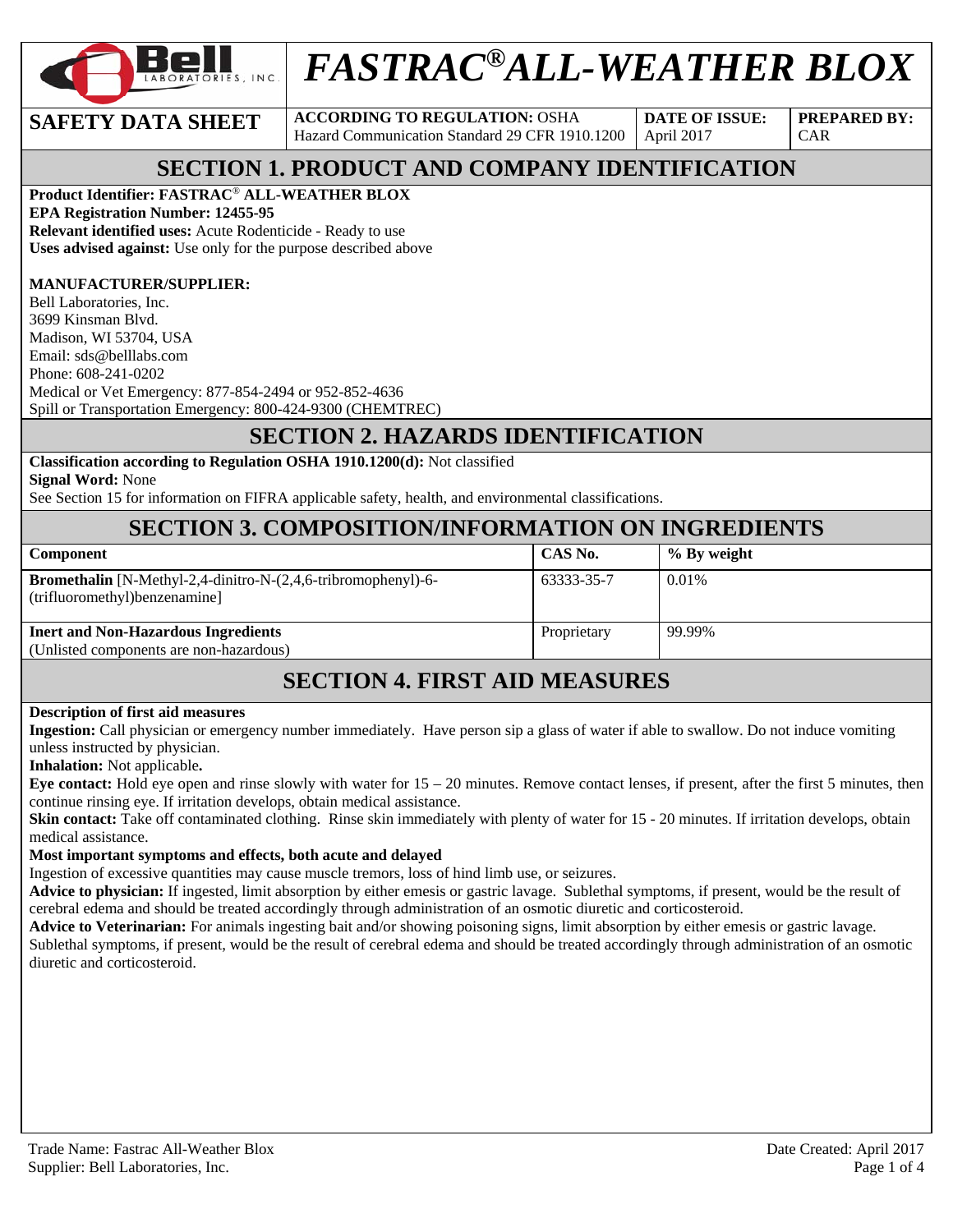

# *FASTRAC®ALL-WEATHER BLOX*

**SAFETY DATA SHEET** ACCORDING TO REGULATION: OSHA Hazard Communication Standard 29 CFR 1910.1200

**DATE OF ISSUE:**  April 2017

**PREPARED BY:**  CAR

# **SECTION 1. PRODUCT AND COMPANY IDENTIFICATION**

#### **Product Identifier: FASTRAC**® **ALL-WEATHER BLOX**

**EPA Registration Number: 12455-95** 

**Relevant identified uses:** Acute Rodenticide - Ready to use **Uses advised against:** Use only for the purpose described above

#### **MANUFACTURER/SUPPLIER:**

Bell Laboratories, Inc. 3699 Kinsman Blvd. Madison, WI 53704, USA Email: sds@belllabs.com Phone: 608-241-0202 Medical or Vet Emergency: 877-854-2494 or 952-852-4636 Spill or Transportation Emergency: 800-424-9300 (CHEMTREC)

# **SECTION 2. HAZARDS IDENTIFICATION**

#### **Classification according to Regulation OSHA 1910.1200(d):** Not classified

**Signal Word:** None

See Section 15 for information on FIFRA applicable safety, health, and environmental classifications.

#### **SECTION 3. COMPOSITION/INFORMATION ON INGREDIENTS**

| <b>Component</b>                                                                                      | CAS No.     | % By weight |
|-------------------------------------------------------------------------------------------------------|-------------|-------------|
| <b>Bromethalin</b> [N-Methyl-2,4-dinitro-N-(2,4,6-tribromophenyl)-6-<br>(trifluoromethyl) benzenamine | 63333-35-7  | 0.01%       |
| <b>Inert and Non-Hazardous Ingredients</b>                                                            | Proprietary | 99.99%      |
| (Unlisted components are non-hazardous)                                                               |             |             |

### **SECTION 4. FIRST AID MEASURES**

#### **Description of first aid measures**

**Ingestion:** Call physician or emergency number immediately. Have person sip a glass of water if able to swallow. Do not induce vomiting unless instructed by physician.

#### **Inhalation:** Not applicable**.**

**Eye contact:** Hold eye open and rinse slowly with water for  $15 - 20$  minutes. Remove contact lenses, if present, after the first 5 minutes, then continue rinsing eye. If irritation develops, obtain medical assistance.

**Skin contact:** Take off contaminated clothing. Rinse skin immediately with plenty of water for 15 - 20 minutes. If irritation develops, obtain medical assistance.

#### **Most important symptoms and effects, both acute and delayed**

Ingestion of excessive quantities may cause muscle tremors, loss of hind limb use, or seizures.

**Advice to physician:** If ingested, limit absorption by either emesis or gastric lavage. Sublethal symptoms, if present, would be the result of cerebral edema and should be treated accordingly through administration of an osmotic diuretic and corticosteroid.

**Advice to Veterinarian:** For animals ingesting bait and/or showing poisoning signs, limit absorption by either emesis or gastric lavage.

Sublethal symptoms, if present, would be the result of cerebral edema and should be treated accordingly through administration of an osmotic diuretic and corticosteroid.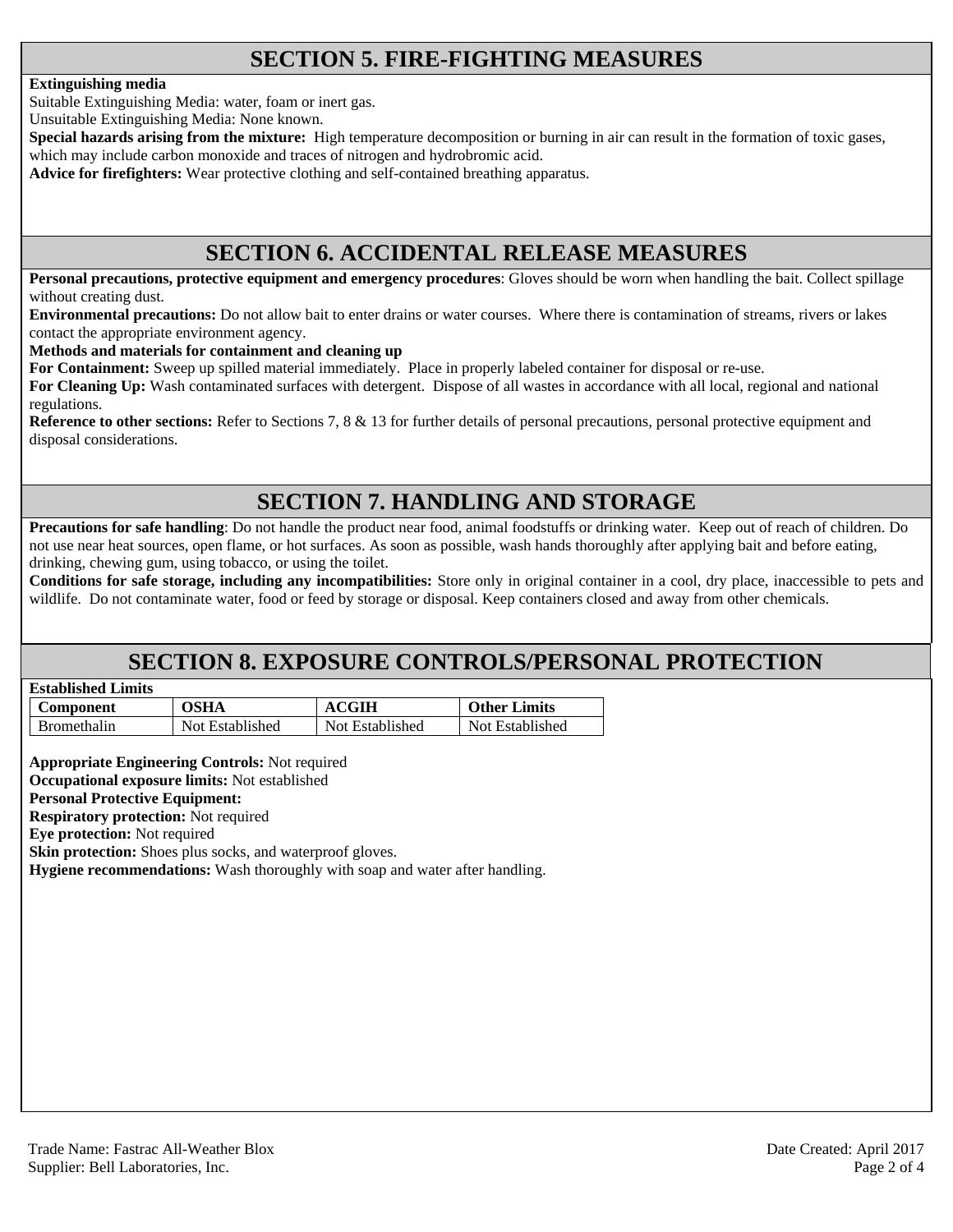# **SECTION 5. FIRE-FIGHTING MEASURES**

#### **Extinguishing media**

Suitable Extinguishing Media: water, foam or inert gas.

Unsuitable Extinguishing Media: None known.

**Special hazards arising from the mixture:** High temperature decomposition or burning in air can result in the formation of toxic gases, which may include carbon monoxide and traces of nitrogen and hydrobromic acid.

**Advice for firefighters:** Wear protective clothing and self-contained breathing apparatus.

#### **SECTION 6. ACCIDENTAL RELEASE MEASURES**

**Personal precautions, protective equipment and emergency procedures**: Gloves should be worn when handling the bait. Collect spillage without creating dust.

**Environmental precautions:** Do not allow bait to enter drains or water courses. Where there is contamination of streams, rivers or lakes contact the appropriate environment agency.

**Methods and materials for containment and cleaning up**

**For Containment:** Sweep up spilled material immediately. Place in properly labeled container for disposal or re-use.

**For Cleaning Up:** Wash contaminated surfaces with detergent. Dispose of all wastes in accordance with all local, regional and national regulations.

**Reference to other sections:** Refer to Sections 7, 8 & 13 for further details of personal precautions, personal protective equipment and disposal considerations.

# **SECTION 7. HANDLING AND STORAGE**

**Precautions for safe handling**: Do not handle the product near food, animal foodstuffs or drinking water. Keep out of reach of children. Do not use near heat sources, open flame, or hot surfaces. As soon as possible, wash hands thoroughly after applying bait and before eating, drinking, chewing gum, using tobacco, or using the toilet.

**Conditions for safe storage, including any incompatibilities:** Store only in original container in a cool, dry place, inaccessible to pets and wildlife. Do not contaminate water, food or feed by storage or disposal. Keep containers closed and away from other chemicals.

### **SECTION 8. EXPOSURE CONTROLS/PERSONAL PROTECTION**

| <b>Established Limits</b> |  |
|---------------------------|--|
|                           |  |

| Component          | OSHA            | <b>ACGIH</b>    | <b>Other Limits</b> |
|--------------------|-----------------|-----------------|---------------------|
| <b>Bromethalin</b> | Not Established | Not Established | Not Established     |

**Appropriate Engineering Controls:** Not required

**Occupational exposure limits:** Not established **Personal Protective Equipment:** 

**Respiratory protection:** Not required

**Eye protection:** Not required

**Skin protection:** Shoes plus socks, and waterproof gloves.

**Hygiene recommendations:** Wash thoroughly with soap and water after handling.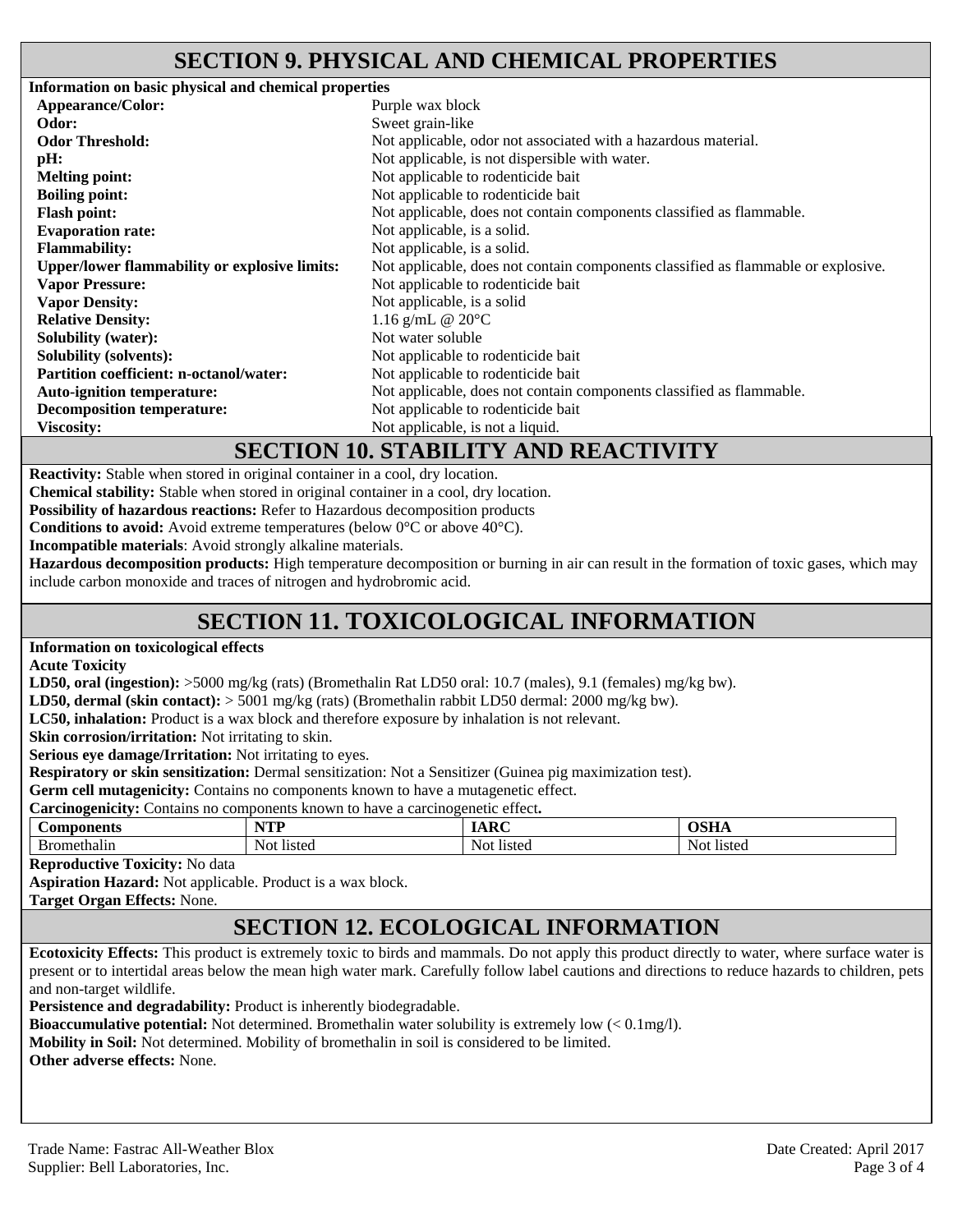#### **SECTION 9. PHYSICAL AND CHEMICAL PROPERTIES**

**Information on basic physical and chemical properties Appearance/Color:** Purple wax block **Odor:** Sweet grain-like **Odor Threshold:** Not applicable, odor not associated with a hazardous material. **pH:** Not applicable, is not dispersible with water. **Melting point:** Not applicable to rodenticide bait **Boiling point:** Not applicable to rodenticide bait **Flash point:** Not applicable, does not contain components classified as flammable. **Evaporation rate:** Not applicable, is a solid. **Flammability:** Not applicable, is a solid. **Upper/lower flammability or explosive limits:** Not applicable, does not contain components classified as flammable or explosive. **Vapor Pressure: Vapor Density:**  Not applicable to rodenticide bait Not applicable, is a solid **Relative Density:** 1.16 g/mL @ 20°C **Solubility (water):** Not water soluble **Solubility (solvents):** Not applicable to rodenticide bait **Partition coefficient: n-octanol/water:** Not applicable to rodenticide bait Auto-ignition temperature: Not applicable, does not contain components classified as flammable. **Decomposition temperature:** Not applicable to rodenticide bait **Viscosity:** Not applicable, is not a liquid.

#### **SECTION 10. STABILITY AND REACTIVITY**

**Reactivity:** Stable when stored in original container in a cool, dry location.

**Chemical stability:** Stable when stored in original container in a cool, dry location.

**Possibility of hazardous reactions:** Refer to Hazardous decomposition products

**Conditions to avoid:** Avoid extreme temperatures (below 0°C or above 40°C).

**Incompatible materials**: Avoid strongly alkaline materials.

**Hazardous decomposition products:** High temperature decomposition or burning in air can result in the formation of toxic gases, which may include carbon monoxide and traces of nitrogen and hydrobromic acid.

# **SECTION 11. TOXICOLOGICAL INFORMATION**

**Information on toxicological effects** 

**Acute Toxicity** 

**LD50, oral (ingestion):** >5000 mg/kg (rats) (Bromethalin Rat LD50 oral: 10.7 (males), 9.1 (females) mg/kg bw).

**LD50, dermal (skin contact):** > 5001 mg/kg (rats) (Bromethalin rabbit LD50 dermal: 2000 mg/kg bw).

**LC50, inhalation:** Product is a wax block and therefore exposure by inhalation is not relevant.

Skin corrosion/irritation: Not irritating to skin.

**Serious eye damage/Irritation:** Not irritating to eyes.

**Respiratory or skin sensitization:** Dermal sensitization: Not a Sensitizer (Guinea pig maximization test).

Germ cell mutagenicity: Contains no components known to have a mutagenetic effect.

| $\tilde{\phantom{a}}$<br>$\sim$<br>Carcinogenicity:<br>carcinogenetic effect.<br>:ontains<br>components known<br>no<br>have a<br>tΩ |                |            |            |  |
|-------------------------------------------------------------------------------------------------------------------------------------|----------------|------------|------------|--|
| Components                                                                                                                          | $\mathbf{T}$   | ,,,,,      | JSOF       |  |
| Bromethalin                                                                                                                         | -listec<br>Not | Not listed | Not listed |  |

**Reproductive Toxicity:** No data

**Aspiration Hazard:** Not applicable. Product is a wax block.

**Target Organ Effects:** None.

# **SECTION 12. ECOLOGICAL INFORMATION**

**Ecotoxicity Effects:** This product is extremely toxic to birds and mammals. Do not apply this product directly to water, where surface water is present or to intertidal areas below the mean high water mark. Carefully follow label cautions and directions to reduce hazards to children, pets and non-target wildlife.

**Persistence and degradability:** Product is inherently biodegradable.

**Bioaccumulative potential:** Not determined. Bromethalin water solubility is extremely low (< 0.1mg/l).

**Mobility in Soil:** Not determined. Mobility of bromethalin in soil is considered to be limited.

**Other adverse effects:** None.